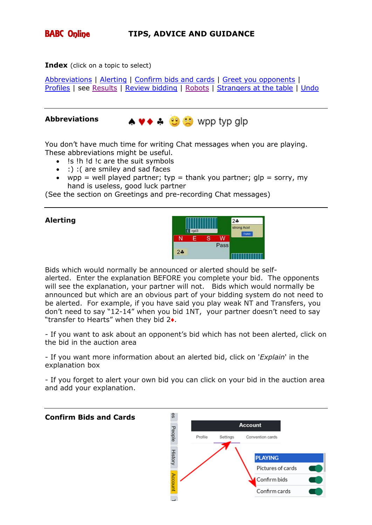

**Index** (click on a topic to select)

[Abbreviations](#page-0-0) | [Alerting](#page-0-1) | [Confirm bids and cards](#page-0-2) | [Greet you opponents](#page-1-0) | [Profiles](#page-1-1) | see [Results](#page-2-0) | [Review](#page-2-1) bidding | [Robots](#page-2-2) | [Strangers at the table](#page-3-0) | [Undo](#page-3-1)

## <span id="page-0-0"></span>**Abbreviations**



You don't have much time for writing Chat messages when you are playing. These abbreviations might be useful.

- !s !h !d !c are the suit symbols
- :) :( are smiley and sad faces
- wpp = well played partner; typ = thank you partner;  $q/p =$  sorry, my hand is useless, good luck partner

(See the section on Greetings and pre-recording Chat messages)

## <span id="page-0-1"></span>**Alerting**



Bids which would normally be announced or alerted should be selfalerted. Enter the explanation BEFORE you complete your bid. The opponents will see the explanation, your partner will not. Bids which would normally be announced but which are an obvious part of your bidding system do not need to be alerted. For example, if you have said you play weak NT and Transfers, you don't need to say "12-14" when you bid 1NT, your partner doesn't need to say "transfer to Hearts" when they bid 2♦.

- If you want to ask about an opponent's bid which has not been alerted, click on the bid in the auction area

- If you want more information about an alerted bid, click on '*Explain*' in the explanation box

- If you forget to alert your own bid you can click on your bid in the auction area and add your explanation.

<span id="page-0-2"></span>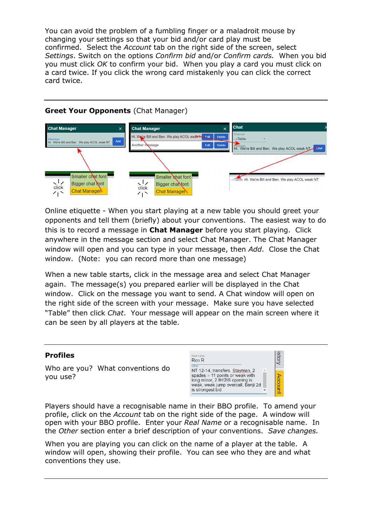You can avoid the problem of a fumbling finger or a maladroit mouse by changing your settings so that your bid and/or card play must be confirmed. Select the *Account* tab on the right side of the screen, select *Settings*. Switch on the options *Confirm bid* and/or *Confirm cards.* When you bid you must click *OK* to confirm your bid. When you play a card you must click on a card twice. If you click the wrong card mistakenly you can click the correct card twice.

<span id="page-1-0"></span>



Online etiquette - When you start playing at a new table you should greet your opponents and tell them (briefly) about your conventions. The easiest way to do this is to record a message in **Chat Manager** before you start playing. Click anywhere in the message section and select Chat Manager. The Chat Manager window will open and you can type in your message, then *Add*. Close the Chat window. (Note: you can record more than one message)

When a new table starts, click in the message area and select Chat Manager again. The message(s) you prepared earlier will be displayed in the Chat window. Click on the message you want to send. A Chat window will open on the right side of the screen with your message. Make sure you have selected "Table" then click *Chat*. Your message will appear on the main screen where it can be seen by all players at the table.

# <span id="page-1-1"></span>**Profiles**

Who are you? What conventions do you use?

| Real name<br>Ron R                                                                                                                                                       |  |
|--------------------------------------------------------------------------------------------------------------------------------------------------------------------------|--|
| Other<br>NT 12-14, transfers, Stayman, 2<br>spades = 11 points or weak with<br>long minor, 2 IH/2IS opening is<br>weak, weak jump overcall, Benji 2d<br>is strongest bid |  |

Players should have a recognisable name in their BBO profile. To amend your profile, click on the *Account* tab on the right side of the page. A window will open with your BBO profile. Enter your *Real Name* or a recognisable name. In the *Other* section enter a brief description of your conventions. *Save changes.*

When you are playing you can click on the name of a player at the table. A window will open, showing their profile. You can see who they are and what conventions they use.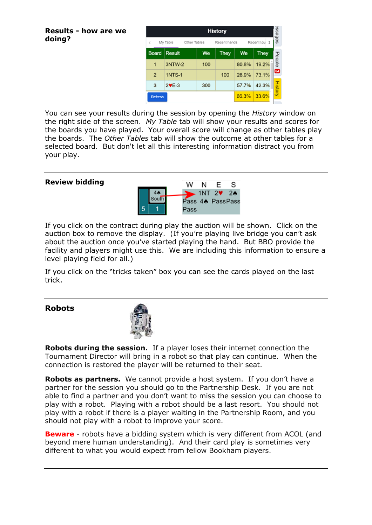#### <span id="page-2-0"></span>**Results - how are we doing?**

| <b>History</b>                                              |               |     |      |       |             |                |
|-------------------------------------------------------------|---------------|-----|------|-------|-------------|----------------|
| Recent tou<br>₹<br>My Table<br>Other Tables<br>Recent hands |               |     |      |       |             | sebess         |
| Board                                                       | Result        | We  | They | We    | <b>They</b> |                |
| 1                                                           | 3NTW-2        | 100 |      | 80.8% | 19.2%       | People         |
| $\overline{2}$                                              | <b>1NTS-1</b> |     | 100  | 26.9% | 73.1%       | ෙ              |
| 3                                                           | $2VE-3$       | 300 |      | 57.7% | 42.3%       | <b>History</b> |
| Refresh                                                     |               |     |      | 66.3% | 33.6%       |                |

You can see your results during the session by opening the *History* window on the right side of the screen. *My Table* tab will show your results and scores for the boards you have played. Your overall score will change as other tables play the boards. The *Other Tables* tab will show the outcome at other tables for a selected board. But don't let all this interesting information distract you from your play.

### <span id="page-2-1"></span>**Review bidding**



If you click on the contract during play the auction will be shown. Click on the auction box to remove the display. (If you're playing live bridge you can't ask about the auction once you've started playing the hand. But BBO provide the facility and players might use this. We are including this information to ensure a level playing field for all.)

If you click on the "tricks taken" box you can see the cards played on the last trick.

## <span id="page-2-2"></span>**Robots**



**Robots during the session.** If a player loses their internet connection the Tournament Director will bring in a robot so that play can continue. When the connection is restored the player will be returned to their seat.

**Robots as partners.** We cannot provide a host system. If you don't have a partner for the session you should go to the Partnership Desk. If you are not able to find a partner and you don't want to miss the session you can choose to play with a robot. Playing with a robot should be a last resort. You should not play with a robot if there is a player waiting in the Partnership Room, and you should not play with a robot to improve your score.

**Beware** - robots have a bidding system which is very different from ACOL (and beyond mere human understanding). And their card play is sometimes very different to what you would expect from fellow Bookham players.